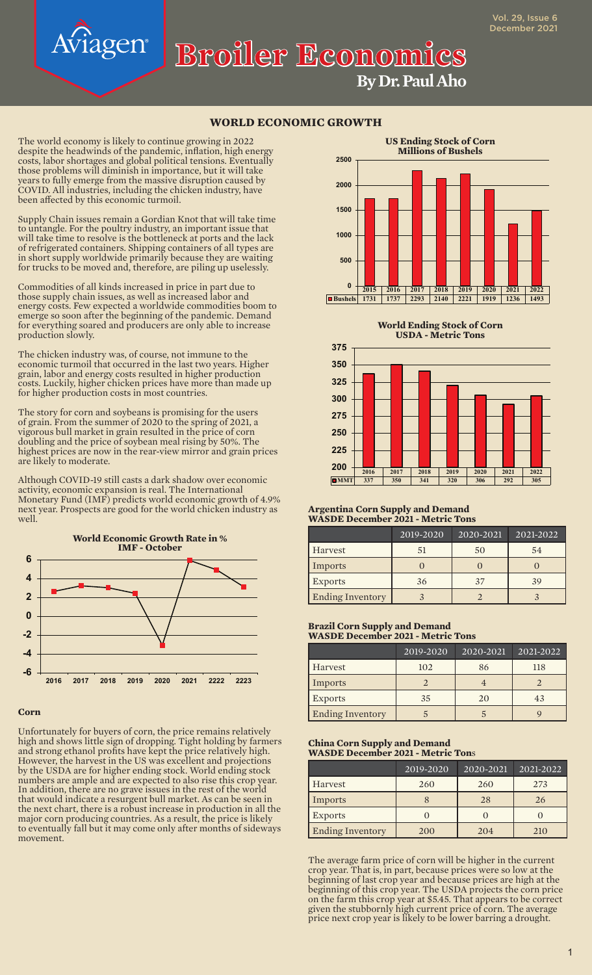# **Broiler Economics**

The world economy is likely to continue growing in 2022 despite the headwinds of the pandemic, inflation, high energy costs, labor shortages and global political tensions. Eventually those problems will diminish in importance, but it will take years to fully emerge from the massive disruption caused by COVID. All industries, including the chicken industry, have been affected by this economic turmoil.

Supply Chain issues remain a Gordian Knot that will take time to untangle. For the poultry industry, an important issue that will take time to resolve is the bottleneck at ports and the lack of refrigerated containers. Shipping containers of all types are in short supply worldwide primarily because they are waiting for trucks to be moved and, therefore, are piling up uselessly.

Commodities of all kinds increased in price in part due to those supply chain issues, as well as increased labor and energy costs. Few expected a worldwide commodities boom to emerge so soon after the beginning of the pandemic. Demand for everything soared and producers are only able to increase production slowly.

The chicken industry was, of course, not immune to the economic turmoil that occurred in the last two years. Higher grain, labor and energy costs resulted in higher production costs. Luckily, higher chicken prices have more than made up for higher production costs in most countries.

The story for corn and soybeans is promising for the users of grain. From the summer of 2020 to the spring of 2021, a vigorous bull market in grain resulted in the price of corn doubling and the price of soybean meal rising by 50%. The highest prices are now in the rear-view mirror and grain prices are likely to moderate.

Although COVID-19 still casts a dark shadow over economic activity, economic expansion is real. The International Monetary Fund (IMF) predicts world economic growth of 4.9% next year. Prospects are good for the world chicken industry as well.



### **Corn**

Unfortunately for buyers of corn, the price remains relatively high and shows little sign of dropping. Tight holding by farmers and strong ethanol profits have kept the price relatively high. However, the harvest in the US was excellent and projections by the USDA are for higher ending stock. World ending stock numbers are ample and are expected to also rise this crop year. In addition, there are no grave issues in the rest of the world that would indicate a resurgent bull market. As can be seen in the next chart, there is a robust increase in production in all the major corn producing countries. As a result, the price is likely to eventually fall but it may come only after months of sideways movement.



**By Dr. Paul Aho**

**World Ending Stock of Corn USDA - Metric Tons**



#### **Argentina Corn Supply and Demand WASDE December 2021 - Metric Tons**

|                         | 2019-2020 | 2020-2021 | 2021-2022 |
|-------------------------|-----------|-----------|-----------|
| Harvest                 | 51        | 50        | 54        |
| Imports                 |           |           |           |
| <b>Exports</b>          | 36        | 37        | 39        |
| <b>Ending Inventory</b> |           |           |           |

#### **Brazil Corn Supply and Demand WASDE December 2021 - Metric Tons**

|                         | 2019-2020 | 2020-2021 | 2021-2022 |
|-------------------------|-----------|-----------|-----------|
| Harvest                 | 102       | 86        | 118       |
| Imports                 |           |           |           |
| <b>Exports</b>          | 35        | 20        | 43        |
| <b>Ending Inventory</b> |           |           |           |

#### **China Corn Supply and Demand WASDE December 2021 - Metric Ton**s

|                         | 2019-2020 | 2020-2021 | 2021-2022 |
|-------------------------|-----------|-----------|-----------|
| Harvest                 | 260       | 260       | 273       |
| Imports                 |           | 28        | 26        |
| <b>Exports</b>          |           |           |           |
| <b>Ending Inventory</b> | 200       | 204       | 210       |

The average farm price of corn will be higher in the current crop year. That is, in part, because prices were so low at the beginning of last crop year and because prices are high at the beginning of this crop year. The USDA projects the corn price on the farm this crop year at \$5.45. That appears to be correct given the stubbornly high current price of corn. The average price next crop year is likely to be lower barring a drought.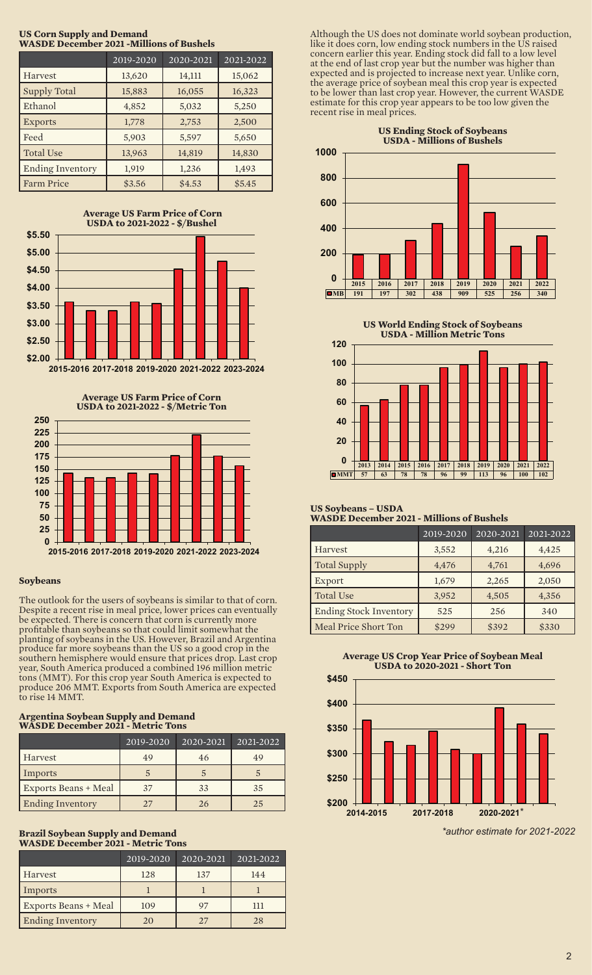| WASDE DECEMBER 2021 -WHINDUS OF BUSICIS |           |           |           |
|-----------------------------------------|-----------|-----------|-----------|
|                                         | 2019-2020 | 2020-2021 | 2021-2022 |
| Harvest                                 | 13,620    | 14,111    | 15,062    |
| <b>Supply Total</b>                     | 15,883    | 16,055    | 16,323    |
| Ethanol                                 | 4,852     | 5,032     | 5,250     |
| <b>Exports</b>                          | 1,778     | 2,753     | 2,500     |
| Feed                                    | 5,903     | 5,597     | 5,650     |
| <b>Total Use</b>                        | 13,963    | 14,819    | 14,830    |
| <b>Ending Inventory</b>                 | 1,919     | 1,236     | 1,493     |
| <b>Farm Price</b>                       | \$3.56    | \$4.53    | \$5.45    |







# **Soybeans**

The outlook for the users of soybeans is similar to that of corn. Despite a recent rise in meal price, lower prices can eventually be expected. There is concern that corn is currently more profitable than soybeans so that could limit somewhat the planting of soybeans in the US. However, Brazil and Argentina produce far more soybeans than the US so a good crop in the southern hemisphere would ensure that prices drop. Last crop year, South America produced a combined 196 million metric tons (MMT). For this crop year South America is expected to produce 206 MMT. Exports from South America are expected to rise 14 MMT.

#### **Argentina Soybean Supply and Demand WASDE December 2021 - Metric Tons**

|                             | 2019-2020 | 2020-2021 | 2021-2022 |
|-----------------------------|-----------|-----------|-----------|
| Harvest                     | 49        | 46        | 49        |
| Imports                     |           |           |           |
| <b>Exports Beans + Meal</b> | 37        | 33        | 35        |
| <b>Ending Inventory</b>     | 27        | 26        | 25        |

# **Brazil Soybean Supply and Demand WASDE December 2021 - Metric Tons**

|                             | 2019-2020 | 2020-2021 | 2021-2022 |
|-----------------------------|-----------|-----------|-----------|
| Harvest                     | 128       | 137       | 144       |
| Imports                     |           |           |           |
| <b>Exports Beans + Meal</b> | 109       | 97        | ווו       |
| <b>Ending Inventory</b>     | 20        | 27        | 28        |

Although the US does not dominate world soybean production, like it does corn, low ending stock numbers in the US raised concern earlier this year. Ending stock did fall to a low level at the end of last crop year but the number was higher than expected and is projected to increase next year. Unlike corn, the average price of soybean meal this crop year is expected to be lower than last crop year. However, the current WASDE estimate for this crop year appears to be too low given the recent rise in meal prices.



**US World Ending Stock of Soybeans**



#### **US Soybeans – USDA WASDE December 2021 - Millions of Bushels**

|                               | 2019-2020 | 2020-2021 | 2021-2022 |
|-------------------------------|-----------|-----------|-----------|
| Harvest                       | 3,552     | 4,216     | 4,425     |
| <b>Total Supply</b>           | 4,476     | 4,761     | 4,696     |
| Export                        | 1,679     | 2,265     | 2,050     |
| <b>Total Use</b>              | 3,952     | 4,505     | 4,356     |
| <b>Ending Stock Inventory</b> | 525       | 256       | 340       |
| Meal Price Short Ton          | \$299     | \$392     | \$330     |

**Average US Crop Year Price of Soybean Meal USDA to 2020-2021 - Short Ton**



*<sup>\*</sup>author estimate for 2021-2022*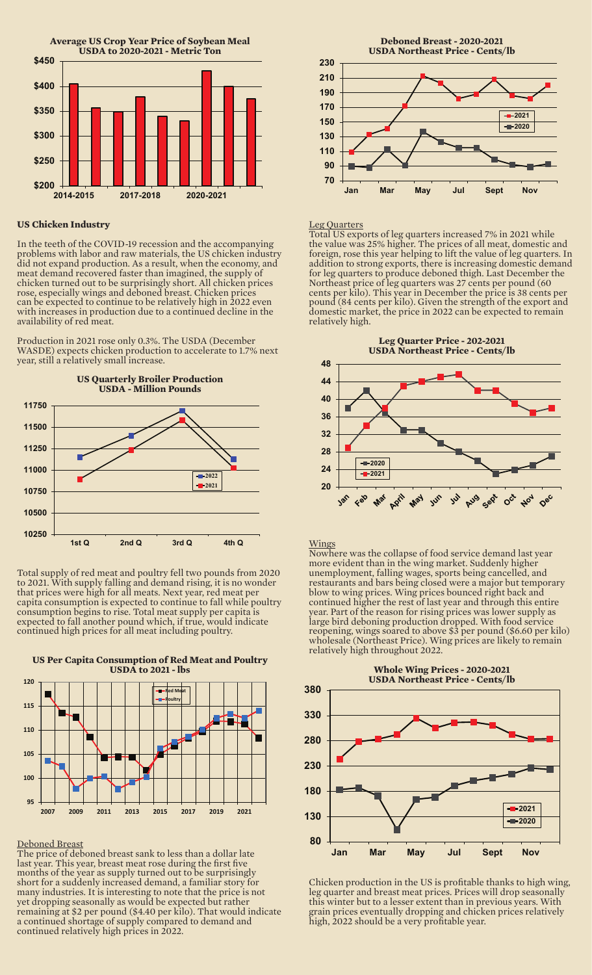

# **US Chicken Industry**

In the teeth of the COVID-19 recession and the accompanying problems with labor and raw materials, the US chicken industry did not expand production. As a result, when the economy, and meat demand recovered faster than imagined, the supply of chicken turned out to be surprisingly short. All chicken prices rose, especially wings and deboned breast. Chicken prices can be expected to continue to be relatively high in 2022 even with increases in production due to a continued decline in the availability of red meat.

Production in 2021 rose only 0.3%. The USDA (December WASDE) expects chicken production to accelerate to 1.7% next year, still a relatively small increase.



Total supply of red meat and poultry fell two pounds from 2020 to 2021. With supply falling and demand rising, it is no wonder that prices were high for all meats. Next year, red meat per capita consumption is expected to continue to fall while poultry consumption begins to rise. Total meat supply per capita is expected to fall another pound which, if true, would indicate continued high prices for all meat including poultry.



#### **US Per Capita Consumption of Red Meat and Poultry USDA to 2021 - lbs**

### Deboned Breast

The price of deboned breast sank to less than a dollar late last year. This year, breast meat rose during the first five months of the year as supply turned out to be surprisingly short for a suddenly increased demand, a familiar story for many industries. It is interesting to note that the price is not yet dropping seasonally as would be expected but rather remaining at \$2 per pound (\$4.40 per kilo). That would indicate a continued shortage of supply compared to demand and continued relatively high prices in 2022.



# Leg Quarters

Total US exports of leg quarters increased 7% in 2021 while the value was 25% higher. The prices of all meat, domestic and foreign, rose this year helping to lift the value of leg quarters. In addition to strong exports, there is increasing domestic demand for leg quarters to produce deboned thigh. Last December the Northeast price of leg quarters was 27 cents per pound (60 cents per kilo). This year in December the price is 38 cents per pound (84 cents per kilo). Given the strength of the export and domestic market, the price in 2022 can be expected to remain relatively high.



#### Wings

Nowhere was the collapse of food service demand last year more evident than in the wing market. Suddenly higher unemployment, falling wages, sports being cancelled, and restaurants and bars being closed were a major but temporary blow to wing prices. Wing prices bounced right back and continued higher the rest of last year and through this entire year. Part of the reason for rising prices was lower supply as large bird deboning production dropped. With food service reopening, wings soared to above \$3 per pound (\$6.60 per kilo) wholesale (Northeast Price). Wing prices are likely to remain relatively high throughout 2022.



Chicken production in the US is profitable thanks to high wing, leg quarter and breast meat prices. Prices will drop seasonally this winter but to a lesser extent than in previous years. With grain prices eventually dropping and chicken prices relatively high, 2022 should be a very profitable year.